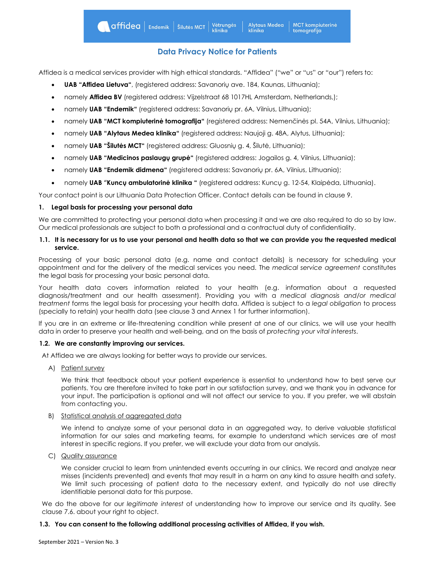# **Data Privacy Notice for Patients**

Affidea is a medical services provider with high ethical standards. "Affidea" ("we" or "us" or "our") refers to:

- **UAB "Affidea Lietuva"**, (registered address: Savanorių ave. 184, Kaunas, Lithuania);
- namely **Affidea BV** (registered address: Vijzelstraat 68 1017HL Amsterdam, Netherlands,);
- namely **UAB "Endemik"** (registered address: Savanorių pr. 6A, Vilnius, Lithuania);
- namely **UAB "MCT kompiuterinė tomografija"** (registered address: Nemenčinės pl. 54A, Vilnius, Lithuania);
- namely **UAB "Alytaus Medea klinika"** (registered address: Naujoji g. 48A, Alytus, Lithuania);
- namely **UAB "Šilutės MCT"** (registered address: Gluosnių g. 4, Šilutė, Lithuania);
- namely **UAB "Medicinos paslaugų grupė"** (registered address: Jogailos g. 4, Vilnius, Lithuania);
- namely **UAB "Endemik didmena"** (registered address: Savanorių pr. 6A, Vilnius, Lithuania);
- namely **UAB** "**Kuncų ambulatorinė klinika "** (registered address: Kuncų g. 12-54, Klaipėda, Lithuania).

Your contact point is our Lithuania Data Protection Officer. Contact details can be found in clause 9.

#### **1. Legal basis for processing your personal data**

We are committed to protecting your personal data when processing it and we are also required to do so by law. Our medical professionals are subject to both a professional and a contractual duty of confidentiality.

#### **1.1. It is necessary for us to use your personal and health data so that we can provide you the requested medical service.**

Processing of your basic personal data (e.g. name and contact details) is necessary for scheduling your appointment and for the delivery of the medical services you need. The *medical service agreement* constitutes the legal basis for processing your basic personal data.

Your health data covers information related to your health (e.g. information about a requested diagnosis/treatment and our health assessment). Providing you with a *medical diagnosis and/or medical treatment* forms the legal basis for processing your health data. Affidea is subject to a *legal obligation* to process (specially to retain) your health data (see clause 3 and Annex 1 for further information).

If you are in an extreme or life-threatening condition while present at one of our clinics, we will use your health data in order to preserve your health and well-being, and on the basis of *protecting your vital interests*.

# **1.2. We are constantly improving our services.**

At Affidea we are always looking for better ways to provide our services.

A) Patient survey

We think that feedback about your patient experience is essential to understand how to best serve our patients. You are therefore invited to take part in our satisfaction survey, and we thank you in advance for your input. The participation is optional and will not affect our service to you. If you prefer, we will abstain from contacting you.

# B) Statistical analysis of aggregated data

We intend to analyze some of your personal data in an aggregated way, to derive valuable statistical information for our sales and marketing teams, for example to understand which services are of most interest in specific regions. If you prefer, we will exclude your data from our analysis.

C) Quality assurance

We consider crucial to learn from unintended events occurring in our clinics. We record and analyze near misses (incidents prevented) and events that may result in a harm on any kind to assure health and safety. We limit such processing of patient data to the necessary extent, and typically do not use directly identifiable personal data for this purpose.

We do the above for our *legitimate interest* of understanding how to improve our service and its quality. See clause 7.6. about your right to object.

# **1.3. You can consent to the following additional processing activities of Affidea, if you wish.**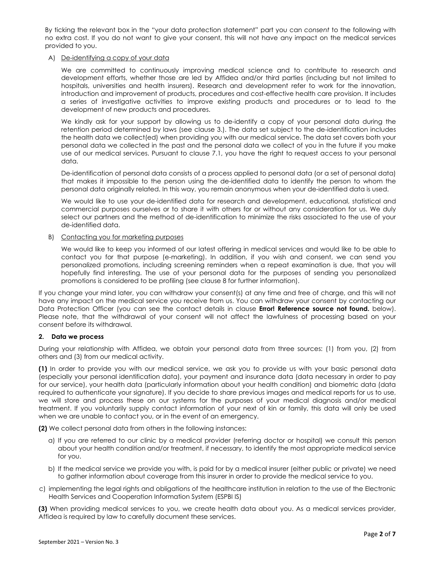By ticking the relevant box in the "your data protection statement" part you can *consent* to the following with no extra cost. If you do not want to give your consent, this will not have any impact on the medical services provided to you.

#### A) De-identifying a copy of your data

We are committed to continuously improving medical science and to contribute to research and development efforts, whether those are led by Affidea and/or third parties (including but not limited to hospitals, universities and health insurers). Research and development refer to work for the innovation, introduction and improvement of products, procedures and cost-effective health care provision. It includes a series of investigative activities to improve existing products and procedures or to lead to the development of new products and procedures.

We kindly ask for your support by allowing us to de-identify a copy of your personal data during the retention period determined by laws (see clause 3.). The data set subject to the de-identification includes the health data we collect(ed) when providing you with our medical service. The data set covers both your personal data we collected in the past and the personal data we collect of you in the future if you make use of our medical services. Pursuant to clause 7.1, you have the right to request access to your personal data.

De-identification of personal data consists of a process applied to personal data (or a set of personal data) that makes it impossible to the person using the de-identified data to identify the person to whom the personal data originally related. In this way, you remain anonymous when your de-identified data is used.

We would like to use your de-identified data for research and development, educational, statistical and commercial purposes ourselves or to share it with others for or without any consideration for us. We duly select our partners and the method of de-identification to minimize the risks associated to the use of your de-identified data.

# B) Contacting you for marketing purposes

We would like to keep you informed of our latest offering in medical services and would like to be able to contact you for that purpose (e-marketing). In addition, if you wish and consent, we can send you personalized promotions, including screening reminders when a repeat examination is due, that you will hopefully find interesting. The use of your personal data for the purposes of sending you personalized promotions is considered to be profiling (see clause 8 for further information).

If you change your mind later, you can withdraw your consent(s) at any time and free of charge, and this will not have any impact on the medical service you receive from us. You can withdraw your consent by contacting our Data Protection Officer (you can see the contact details in clause **Error! Reference source not found.** below). Please note, that the withdrawal of your consent will not affect the lawfulness of processing based on your consent before its withdrawal.

# **2. Data we process**

During your relationship with Affidea, we obtain your personal data from three sources: (1) from you, (2) from others and (3) from our medical activity.

**(1)** In order to provide you with our medical service, we ask you to provide us with your basic personal data (especially your personal identification data), your payment and insurance data (data necessary in order to pay for our service), your health data (particularly information about your health condition) and biometric data (data required to authenticate your signature). If you decide to share previous images and medical reports for us to use, we will store and process these on our systems for the purposes of your medical diagnosis and/or medical treatment. If you voluntarily supply contact information of your next of kin or family, this data will only be used when we are unable to contact you, or in the event of an emergency.

**(2)** We collect personal data from others in the following instances:

- a) If you are referred to our clinic by a medical provider (referring doctor or hospital) we consult this person about your health condition and/or treatment, if necessary, to identify the most appropriate medical service for you.
- b) If the medical service we provide you with, is paid for by a medical insurer (either public or private) we need to gather information about coverage from this insurer in order to provide the medical service to you.
- c) implementing the legal rights and obligations of the healthcare institution in relation to the use of the Electronic Health Services and Cooperation Information System (ESPBI IS)

**(3)** When providing medical services to you, we create health data about you. As a medical services provider, Affidea is required by law to carefully document these services.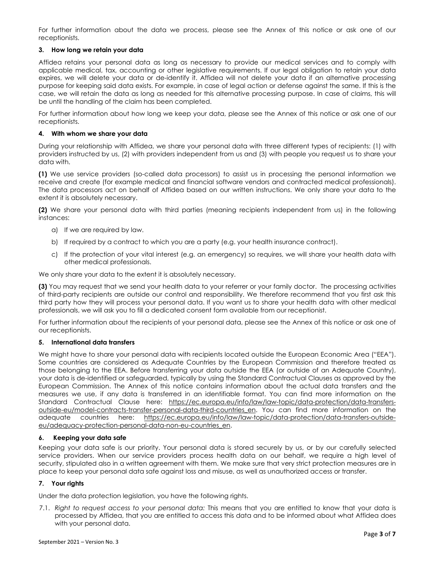For further information about the data we process, please see the Annex of this notice or ask one of our receptionists.

#### **3. How long we retain your data**

Affidea retains your personal data as long as necessary to provide our medical services and to comply with applicable medical, tax, accounting or other legislative requirements. If our legal obligation to retain your data expires, we will delete your data or de-identify it. Affidea will not delete your data if an alternative processing purpose for keeping said data exists. For example, in case of legal action or defense against the same. If this is the case, we will retain the data as long as needed for this alternative processing purpose. In case of claims, this will be until the handling of the claim has been completed.

For further information about how long we keep your data, please see the Annex of this notice or ask one of our receptionists.

#### **4. With whom we share your data**

During your relationship with Affidea, we share your personal data with three different types of recipients: (1) with providers instructed by us, (2) with providers independent from us and (3) with people you request us to share your data with.

**(1)** We use service providers (so-called data processors) to assist us in processing the personal information we receive and create (for example medical and financial software vendors and contracted medical professionals). The data processors act on behalf of Affidea based on our written instructions. We only share your data to the extent it is absolutely necessary.

**(2)** We share your personal data with third parties (meaning recipients independent from us) in the following instances:

- a) If we are required by law.
- b) If required by a contract to which you are a party (e.g. your health insurance contract).
- c) If the protection of your vital interest (e.g. an emergency) so requires, we will share your health data with other medical professionals.

We only share your data to the extent it is absolutely necessary.

**(3)** You may request that we send your health data to your referrer or your family doctor. The processing activities of third-party recipients are outside our control and responsibility. We therefore recommend that you first ask this third party how they will process your personal data. If you want us to share your health data with other medical professionals, we will ask you to fill a dedicated consent form available from our receptionist.

For further information about the recipients of your personal data, please see the Annex of this notice or ask one of our receptionists.

#### **5. International data transfers**

We might have to share your personal data with recipients located outside the European Economic Area ("EEA"). Some countries are considered as Adequate Countries by the European Commission and therefore treated as those belonging to the EEA. Before transferring your data outside the EEA (or outside of an Adequate Country), your data is de-identified or safeguarded, typically by using the Standard Contractual Clauses as approved by the European Commission. The Annex of this notice contains information about the actual data transfers and the measures we use, if any data is transferred in an identifiable format. You can find more information on the Standard Contractual Clause here: [https://ec.europa.eu/info/law/law-topic/data-protection/data-transfers](https://ec.europa.eu/info/law/law-topic/data-protection/data-transfers-outside-eu/model-contracts-transfer-personal-data-third-countries_en)[outside-eu/model-contracts-transfer-personal-data-third-countries\\_en.](https://ec.europa.eu/info/law/law-topic/data-protection/data-transfers-outside-eu/model-contracts-transfer-personal-data-third-countries_en) You can find more information on the adequate countries here: [https://ec.europa.eu/info/law/law-topic/data-protection/data-transfers-outside](https://ec.europa.eu/info/law/law-topic/data-protection/data-transfers-outside-eu/adequacy-protection-personal-data-non-eu-countries_en)[eu/adequacy-protection-personal-data-non-eu-countries\\_en.](https://ec.europa.eu/info/law/law-topic/data-protection/data-transfers-outside-eu/adequacy-protection-personal-data-non-eu-countries_en)

#### **6. Keeping your data safe**

Keeping your data safe is our priority. Your personal data is stored securely by us, or by our carefully selected service providers. When our service providers process health data on our behalf, we require a high level of security, stipulated also in a written agreement with them. We make sure that very strict protection measures are in place to keep your personal data safe against loss and misuse, as well as unauthorized access or transfer.

# **7. Your rights**

Under the data protection legislation, you have the following rights.

7.1. *Right to request access to your personal data:* This means that you are entitled to know that your data is processed by Affidea, that you are entitled to access this data and to be informed about what Affidea does with your personal data.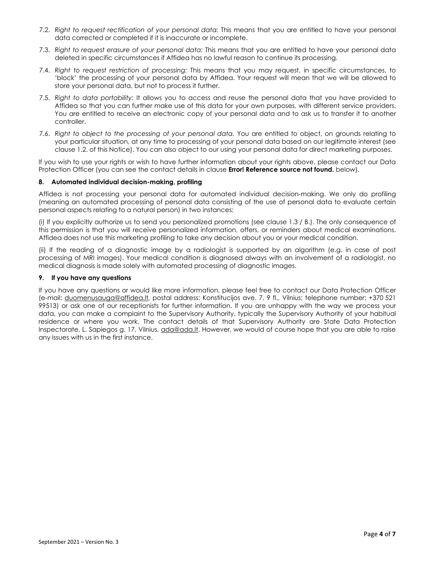- 7.2. *Right to request rectification of your personal data:* This means that you are entitled to have your personal data corrected or completed if it is inaccurate or incomplete.
- 7.3. *Right to request erasure of your personal data:* This means that you are entitled to have your personal data deleted in specific circumstances if Affidea has no lawful reason to continue its processing.
- 7.4. *Right to request restriction of processing:* This means that you may request, in specific circumstances, to 'block' the processing of your personal data by Affidea. Your request will mean that we will be allowed to store your personal data, but not to process it further.
- 7.5. *Right to data portability:* It allows you to access and reuse the personal data that you have provided to Affidea so that you can further make use of this data for your own purposes, with different service providers. You are entitled to receive an electronic copy of your personal data and to ask us to transfer it to another controller.
- 7.6. *Right to object to the processing of your personal data.* You are entitled to object, on grounds relating to your particular situation, at any time to processing of your personal data based on our legitimate interest (see clause 1.2. of this Notice). You can also object to our using your personal data for direct marketing purposes.

If you wish to use your rights or wish to have further information about your rights above, please contact our Data Protection Officer (you can see the contact details in clause **Error! Reference source not found.** below).

#### **8. Automated individual decision-making, profiling**

Affidea is not processing your personal data for automated individual decision-making. We only do profiling (meaning an automated processing of personal data consisting of the use of personal data to evaluate certain personal aspects relating to a natural person) in two instances:

(i) If you explicitly authorize us to send you personalized promotions (see clause 1.3 / B.). The only consequence of this permission is that you will receive personalized information, offers, or reminders about medical examinations. Affidea does not use this marketing profiling to take any decision about you or your medical condition.

(ii) If the reading of a diagnostic image by a radiologist is supported by an algorithm (e.g. in case of post processing of MRI images). Your medical condition is diagnosed always with an involvement of a radiologist, no medical diagnosis is made solely with automated processing of diagnostic images.

#### **9. If you have any questions**

If you have any questions or would like more information, please feel free to contact our Data Protection Officer (e-mail: [duomenusauga@affidea.lt,](mailto:duomenusauga@affidea.lt) postal address: Konstitucijos ave. 7, 9 fl., Vilnius; telephone number: +370 521 99513) or ask one of our receptionists for further information. If you are unhappy with the way we process your data, you can make a complaint to the Supervisory Authority, typically the Supervisory Authority of your habitual residence or where you work. The contact details of that Supervisory Authority are State Data Protection Inspectorate, L. Sapiegos g. 17, Vilnius, [ada@ada.lt.](mailto:ada@ada.lt) However, we would of course hope that you are able to raise any issues with us in the first instance.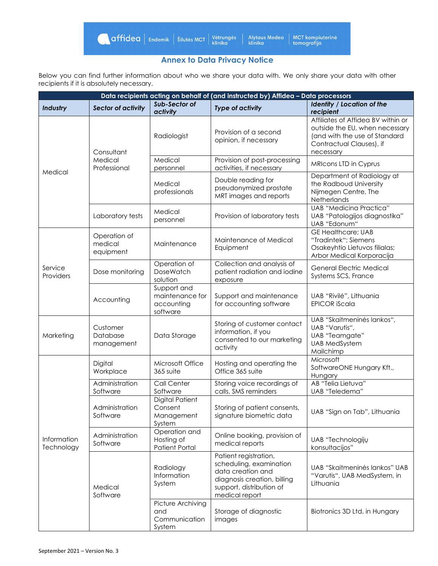# **Annex to Data Privacy Notice**

Below you can find further information about who we share your data with. We only share your data with other recipients if it is absolutely necessary.

| Data recipients acting on behalf of (and instructed by) Affidea - Data processors |                                       |                                                           |                                                                                                                                                    |                                                                                                                                                |  |
|-----------------------------------------------------------------------------------|---------------------------------------|-----------------------------------------------------------|----------------------------------------------------------------------------------------------------------------------------------------------------|------------------------------------------------------------------------------------------------------------------------------------------------|--|
| Industry                                                                          | <b>Sector of activity</b>             |                                                           | <b>Type of activity</b>                                                                                                                            | <b>Identity / Location of the</b><br>recipient                                                                                                 |  |
| Medical                                                                           | Consultant<br>Medical<br>Professional | Radiologist                                               | Provision of a second<br>opinion, if necessary                                                                                                     | Affiliates of Affidea BV within or<br>outside the EU, when necessary<br>(and with the use of Standard<br>Contractual Clauses), if<br>necessary |  |
|                                                                                   |                                       | Medical<br>personnel                                      | Provision of post-processing<br>activities, if necessary                                                                                           | MRIcons LTD in Cyprus                                                                                                                          |  |
|                                                                                   |                                       | Medical<br>professionals                                  | Double reading for<br>pseudonymized prostate<br>MRT images and reports                                                                             | Department of Radiology at<br>the Radboud University<br>Nijmegen Centre, The<br>Netherlands                                                    |  |
|                                                                                   | Laboratory tests                      | Medical<br>personnel                                      | Provision of laboratory tests                                                                                                                      | <b>UAB "Medicina Practica"</b><br>UAB "Patologijos diagnostika"<br>UAB "Edonum"                                                                |  |
| Service<br><b>Providers</b>                                                       | Operation of<br>medical<br>equipment  | Maintenance                                               | Maintenance of Medical<br>Equipment                                                                                                                | <b>GE Healthcare; UAB</b><br>"Tradintek"; Siemens<br>Osakeyhtio Lietuvos filialas;<br>Arbor Medical Korporacija                                |  |
|                                                                                   | Dose monitoring                       | Operation of<br><b>DoseWatch</b><br>solution              | Collection and analysis of<br>patient radiation and iodine<br>exposure                                                                             | General Electric Medical<br>Systems SCS, France                                                                                                |  |
|                                                                                   | Accounting                            | Support and<br>maintenance for<br>accounting<br>software  | Support and maintenance<br>for accounting software                                                                                                 | UAB "Rivilė", Lithuania<br><b>EPICOR iScala</b>                                                                                                |  |
| Marketing                                                                         | Customer<br>Database<br>management    | Data Storage                                              | Storing of customer contact<br>information, if you<br>consented to our marketing<br>activity                                                       | UAB "Skaitmeninės lankos",<br>UAB "Varutis",<br>UAB "Teamgate"<br><b>UAB MedSystem</b><br>Mailchimp                                            |  |
|                                                                                   | Digital<br>Workplace                  | Microsoft Office<br>365 suite                             | Hosting and operating the<br>Office 365 suite                                                                                                      | Microsoft<br>SoftwareONE Hungary Kft.,<br>Hungary                                                                                              |  |
|                                                                                   | Administration<br>Software            | Call Center<br>Software                                   | Storing voice recordings of<br>calls, SMS reminders                                                                                                | AB "Telia Lietuva"<br>UAB "Teledema"                                                                                                           |  |
| Information<br>Technology                                                         | Administration<br>Software            | <b>Digital Patient</b><br>Consent<br>Management<br>System | Storing of patient consents,<br>signature biometric data                                                                                           | UAB "Sign on Tab", Lithuania                                                                                                                   |  |
|                                                                                   | Administration<br>Software            | Operation and<br>Hosting of<br><b>Patient Portal</b>      | Online booking, provision of<br>medical reports                                                                                                    | UAB "Technologijų<br>konsultacijos"                                                                                                            |  |
|                                                                                   | Medical<br>Software                   | Radiology<br>Information<br>System                        | Patient registration,<br>scheduling, examination<br>data creation and<br>diagnosis creation, billing<br>support, distribution of<br>medical report | UAB "Skaitmeninės lankos" UAB<br>"Varutis", UAB MedSystem, in<br>Lithuania                                                                     |  |
|                                                                                   |                                       | Picture Archiving<br>and<br>Communication<br>System       | Storage of diagnostic<br>images                                                                                                                    | Biotronics 3D Ltd. in Hungary                                                                                                                  |  |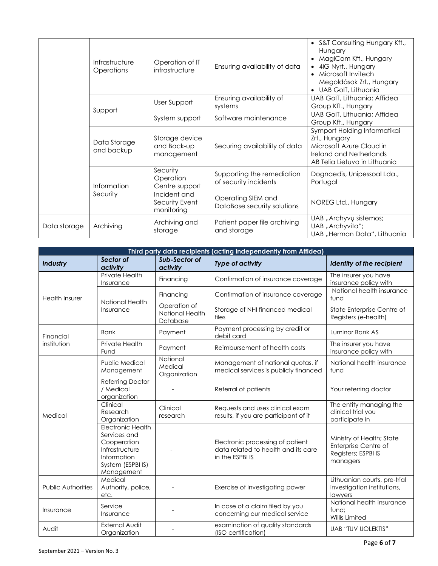|              | Infrastructure<br>Operations | Operation of IT<br>infrastructure            | Ensuring availability of data                       | • S&T Consulting Hungary Kft.,<br>Hungary<br>MagiCom Kft., Hungary<br>4iG Nyrt., Hungary<br>Microsoft Invitech<br>$\bullet$<br>Megoldások Zrt., Hungary<br>UAB GoIT, Lithuania |
|--------------|------------------------------|----------------------------------------------|-----------------------------------------------------|--------------------------------------------------------------------------------------------------------------------------------------------------------------------------------|
|              | Support                      | User Support                                 | Ensuring availability of<br>systems                 | UAB GoIT, Lithuania; Affidea<br>Group Kft., Hungary                                                                                                                            |
|              |                              | System support                               | Software maintenance                                | UAB GoIT, Lithuania; Affidea<br>Group Kft., Hungary                                                                                                                            |
|              | Data Storage<br>and backup   | Storage device<br>and Back-up<br>management  | Securing availability of data                       | Symport Holding Informatikai<br>Zrt., Hungary<br>Microsoft Azure Cloud in<br>Ireland and Netherlands<br>AB Telia Lietuva in Lithuania                                          |
|              | Information<br>Security      | Security<br>Operation<br>Centre support      | Supporting the remediation<br>of security incidents | Dognaedis, Unipessoal Lda.,<br>Portugal                                                                                                                                        |
|              |                              | Incident and<br>Security Event<br>monitoring | Operating SIEM and<br>DataBase security solutions   | NOREG Ltd., Hungary                                                                                                                                                            |
| Data storage | Archiving                    | Archiving and<br>storage                     | Patient paper file archiving<br>and storage         | UAB "Archyvų sistemos;<br>UAB "Archyvita";<br>UAB "Herman Data", Lithuania                                                                                                     |

| Third party data recipients (acting independently from Affidea) |                                                                                                                      |                                             |                                                                                            |                                                                                      |  |
|-----------------------------------------------------------------|----------------------------------------------------------------------------------------------------------------------|---------------------------------------------|--------------------------------------------------------------------------------------------|--------------------------------------------------------------------------------------|--|
| Industry                                                        | Sector of<br>activity                                                                                                | Sub-Sector of<br>activity                   | <b>Type of activity</b>                                                                    | Identity of the recipient                                                            |  |
| <b>Health Insurer</b>                                           | Private Health<br>Insurance                                                                                          | Financing                                   | Confirmation of insurance coverage                                                         | The insurer you have<br>insurance policy with                                        |  |
|                                                                 | National Health                                                                                                      | Financing                                   | Confirmation of insurance coverage                                                         | National health insurance<br>fund                                                    |  |
|                                                                 | Insurance                                                                                                            | Operation of<br>National Health<br>Database | Storage of NHI financed medical<br>files                                                   | State Enterprise Centre of<br>Registers (e-health)                                   |  |
| Financial                                                       | <b>Bank</b>                                                                                                          | Payment                                     | Payment processing by credit or<br>debit card                                              | Luminor Bank AS                                                                      |  |
| institution                                                     | Private Health<br>Fund                                                                                               | Payment                                     | Reimbursement of health costs                                                              | The insurer you have<br>insurance policy with                                        |  |
| Medical                                                         | National<br><b>Public Medical</b><br>Medical<br>Management<br>Organization                                           |                                             | Management of national quotas, if<br>medical services is publicly financed                 | National health insurance<br>fund                                                    |  |
|                                                                 | Referring Doctor<br>/ Medical<br>organization                                                                        |                                             | Referral of patients                                                                       | Your referring doctor                                                                |  |
|                                                                 | Clinical<br>Research<br>Organization                                                                                 | Clinical<br>research                        | Requests and uses clinical exam<br>results, if you are participant of it                   | The entity managing the<br>clinical trial you<br>participate in                      |  |
|                                                                 | Electronic Health<br>Services and<br>Cooperation<br>Infrastructure<br>Information<br>System (ESPBI IS)<br>Management |                                             | Electronic processing of patient<br>data related to health and its care<br>in the ESPBI IS | Ministry of Health; State<br>Enterprise Centre of<br>Registers; ESPBI IS<br>managers |  |
| <b>Public Authorities</b>                                       | Medical<br>Authority, police,<br>etc.                                                                                |                                             | Exercise of investigating power                                                            | Lithuanian courts, pre-trial<br>investigation institutions,<br>lawyers               |  |
| Insurance                                                       | Service<br>Insurance                                                                                                 |                                             | In case of a claim filed by you<br>concerning our medical service                          | National health insurance<br>fund:<br>Willis Limited                                 |  |
| Audit                                                           | <b>External Audit</b><br>Organization                                                                                |                                             | examination of quality standards<br>(ISO certification)                                    | <b>UAB "TUV UOLEKTIS"</b>                                                            |  |